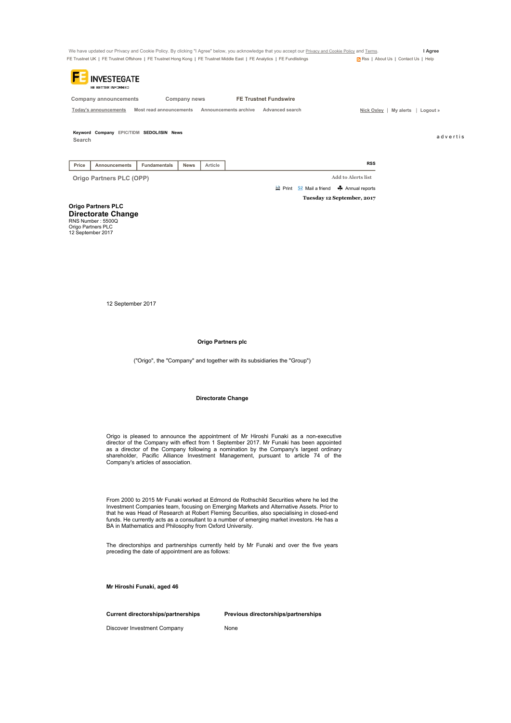| We have updated our Privacy and Cookie Policy. By clicking "I Agree" below, you acknowledge that you accept our Privacy and Cookie Policy and Terms. |                                             | l Agree |
|------------------------------------------------------------------------------------------------------------------------------------------------------|---------------------------------------------|---------|
| FE Trustnet UK   FE Trustnet Offshore   FE Trustnet Hong Kong   FE Trustnet Middle East   FE Analytics   FE Fundlistings                             | <b>N</b> Rss   About Us   Contact Us   Help |         |
|                                                                                                                                                      |                                             |         |

| <b>INVESTEGATE</b><br>BE BETTER INFORMED. |                                           |                       |                              |                         |          |
|-------------------------------------------|-------------------------------------------|-----------------------|------------------------------|-------------------------|----------|
| Company announcements                     | Company news                              |                       | <b>FE Trustnet Fundswire</b> |                         |          |
| Today's announcements                     | Most read announcements                   | Announcements archive | Advanced search              | My alerts<br>Nick Oxley | Logout » |
| Search                                    | Keyword Company EPIC/TIDM SEDOL/ISIN News |                       |                              |                         | advertis |

Price Announcements Fundamentals News Article

Origo Partners PLC (OPP) Add to Alerts list **Print** Mail a friend **A** Annual reports

Tuesday 12 September, 2017

Origo Partners PLC Directorate Change

RNS Number : 5500Q Origo Partners PLC 12 September 2017

12 September 2017

#### Origo Partners plc

("Origo", the "Company" and together with its subsidiaries the "Group")

### Directorate Change

Origo is pleased to announce the appointment of Mr Hiroshi Funaki as a non-executive director of the Company with effect from 1 September 2017. Mr Funaki has been appointed<br>as a director of the Company following a nomination by the Company's largest ordinary<br>shareholder, Pacific Alliance Investment Man Company's articles of association.

From 2000 to 2015 Mr Funaki worked at Edmond de Rothschild Securities where he led the Investment Companies team, focusing on Emerging Markets and Alternative Assets. Prior to that he was Head of Research at Robert Fleming Securities, also specialising in closed-end funds. He currently acts as a consultant to a number of emerging market investors. He has a BA in Mathematics and Philosophy from Oxford University.

The directorships and partnerships currently held by Mr Funaki and over the five years preceding the date of appointment are as follows:

Mr Hiroshi Funaki, aged 46

Current directorships/partnerships Previous directorships/partnerships

Discover Investment Company **None**